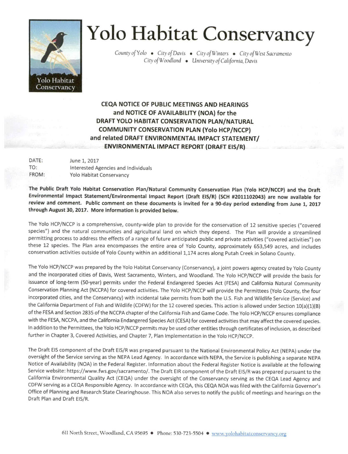

## Yolo Habitat Conservancy

County of Yolo • City of Davis • City of Winters • City of West Sacramento City of Woodland • University of California, Davis

CEQA NOTICE OF PUBLIC MEETINGS AND HEARINGS and NOTICE OF AVAILABILITY (NOA) for the DRAFT YOLO HABITAT CONSERVATION PLAN/NATURAL COMMUNITY CONSERVATION PLAN (Yolo HCP/NCCP) and related DRAFT ENVIRONMENTAL IMPACT STATEMENT/ ENVIRONMENTAL IMPACT REPORT (DRAFT EIS/R)

| DATE: | June 1, 2017                        |
|-------|-------------------------------------|
| TO:   | Interested Agencies and Individuals |
| FROM: | Yolo Habitat Conservancy            |

The Public Draft Yolo Habitat Conservation Plan/Natural Community Conservation Plan (Yolo HCP/NCCP) and the Draft Environmental Impact Statement/Environmental Impact Report (Draft EIS/R) (SCH #2011102043) are now available for review and comment. Public comment on these documents is Invited for a 90-day period extending from June 1, 2017 through August 30, 2017. More information is provided below.

The Yolo HCP/NCCP is a comprehensive, county-wide plan to provide for the conservation of 12 sensitive species ("covered species") and the natural communities and agricultural land on which they depend. The Plan will provide a streamlined permitting process to address the effects of a range of future anticipated public and private activities ("covered activities") on these 12 species. The Plan area encompasses the entire area of Yolo County, approximately 653,549 acres, and includes conservation activities outside of Yolo County within an additional 1,174 acres along Putah Creek in Solano County.

The Yolo HCP/NCCP was prepared by the Yolo Habitat Conservancy (Conservancy), a joint powers agency created by Yolo County and the incorporated cities of Davis, West Sacramento, Winters, and Woodland. The Yolo HCP/NCCP will provide the basis for issuance of long-term (50-year) permits under the Federal Endangered Species Act (FESA) and California Natural Community Conservation Planning Act (NCCPA) for covered activities. The Yolo HCP/NCCP will provide the Permittees (Yolo County, the four incorporated cities, and the Conservancy) with incidental take permits from both the U.S. Fish and Wildlife Service (Service) and the California Department of Fish and Wildlife (CDFW) for the 12 covered species. This action is allowed under Section 10(a)(1)(B) of the FESA and Section 2835 of the NCCPA chapter of the California Fish and Game Code. The Yolo HCP/NCCP ensures compliance with the FESA, NCCPA, and the California Endangered Species Act (CESA) for covered activities that may affect the covered species. In addition to the Permittees, the Yolo HCP/NCCP permits may be used other entities through certificates of inclusion, as described further in Chapter 3, Covered Activities, and Chapter 7, Plan Implementation in the Yolo HCP/NCCP.

The Draft EIS component of the Draft EIS/R was prepared pursuant to the National Environmental Policy Act (NEPA) under the oversight of the Service serving as the NEPA Lead Agency. In accordance with NEPA, the Service is publishing a separate NEPA Notice of Availability (NOA) in the Federal Register. Information about the Federal Register Notice is available at the following Service website: https://www.fws.gov/sacramento/. The Draft EIR component of the Draft EIS/R was prepared pursuant to the California Environmental Quality Act (CEQA) under the oversight of the Conservancy serving as the CEQA Lead Agency and CDFW serving as a CEQA Responsible Agency. In accordance with CEQA, this CEQA NOA was filed with the California Governor's Office of Planning and Research State Clearinghouse. This NOA also serves to notify the public of meetings and hearings on the Draft Plan and Draft EIS/R.